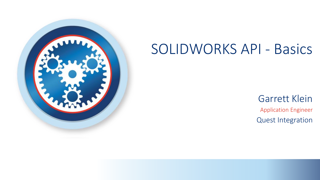

## SOLIDWORKS API - Basics

Application Engineer Quest Integration Garrett Klein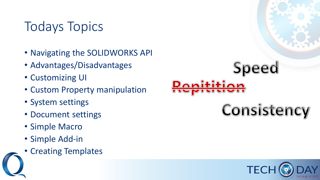## Todays Topics

- Navigating the SOLIDWORKS API
- Advantages/Disadvantages
- Customizing UI
- Custom Property manipulation
- System settings
- Document settings
- Simple Macro
- Simple Add-in
- Creating Templates



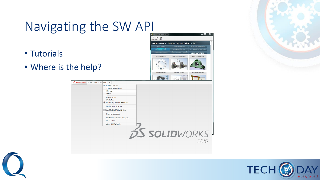## Navigating the SW API

- Tutorials
- Where is the help?







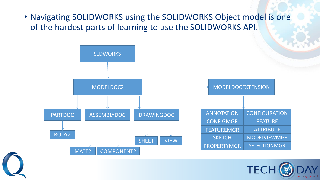• Navigating SOLIDWORKS using the SOLIDWORKS Object model is one of the hardest parts of learning to use the SOLIDWORKS API.





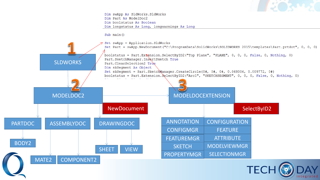

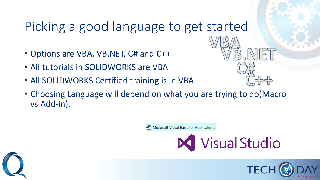## Picking a good language to get started

- Options are VBA, VB.NET, C# and C++
- All tutorials in SOLIDWORKS are VBA
- All SOLIDWORKS Certified training is in VBA
- Choosing Language will depend on what you are trying to do(Macro vs Add-in).

Microsoft Visual Basic for Applications

**Visual Studio** 



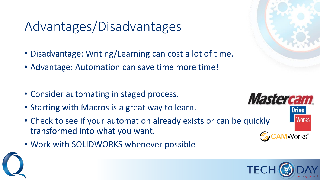## Advantages/Disadvantages

- Disadvantage: Writing/Learning can cost a lot of time.
- Advantage: Automation can save time more time!
- Consider automating in staged process.
- Starting with Macros is a great way to learn.
- Check to see if your automation already exists or can be quickly transformed into what you want.
- Work with SOLIDWORKS whenever possible





**Mastercam**.

**Drive** 

Works<sup>®</sup>

**Works**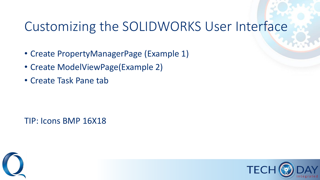### Customizing the SOLIDWORKS User Interface

- Create PropertyManagerPage (Example 1)
- Create ModelViewPage(Example 2)
- Create Task Pane tab

TIP: Icons BMP 16X18



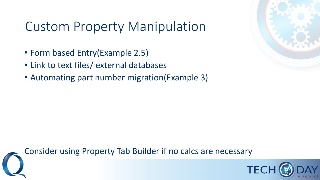## Custom Property Manipulation

- Form based Entry(Example 2.5)
- Link to text files/ external databases
- Automating part number migration(Example 3)





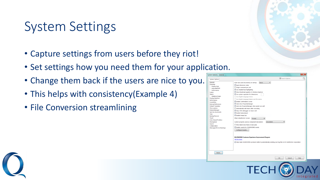## System Settings

- Capture settings from users before they riot!
- Set settings how you need them for your application.
- Change them back if the users are nice to you.
- This helps with consistency(Example 4)
- File Conversion streamlining



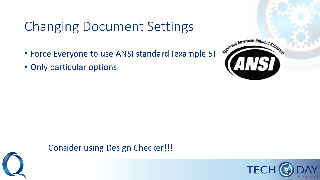# Changing Document Settings

- Force Everyone to use ANSI standard (example 5)
- Only particular options





#### Consider using Design Checker!!!

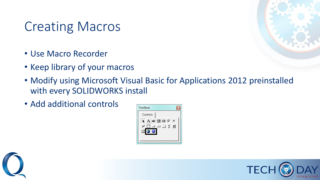## Creating Macros

- Use Macro Recorder
- Keep library of your macros
- Modify using Microsoft Visual Basic for Applications 2012 preinstalled with every SOLIDWORKS install
- Add additional controls





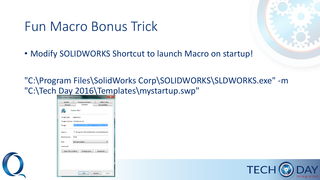#### Fun Macro Bonus Trick

• Modify SOLIDWORKS Shortcut to launch Macro on startup!

"C:\Program Files\SolidWorks Corp\SOLIDWORKS\SLDWORKS.exe" -m "C:\Tech Day 2016\Templates\mystartup.swp"

| <b>Details</b>                     | <b>Previous Versions</b>                                              | <b>Offline Files</b> |
|------------------------------------|-----------------------------------------------------------------------|----------------------|
| General                            | Shortcut                                                              | Compatibility        |
|                                    | <b>Custom Start</b>                                                   |                      |
| Target type:                       | Application                                                           |                      |
| Target location: SolidWorks (2)    |                                                                       |                      |
| Target:                            | /orks (2)\SLDWORKS.exe" -m "C:\startup.swp"                           |                      |
| Start in:<br>Shortcut key:<br>Run: | "C:\Program Files\SolidWorks Corp\SolidWorks<br>None<br>Normal window |                      |
| Comment:                           |                                                                       |                      |
| <b>Open File Location</b>          | Change Icon                                                           | Advanced             |
|                                    |                                                                       |                      |
|                                    |                                                                       |                      |
|                                    |                                                                       |                      |
|                                    |                                                                       |                      |

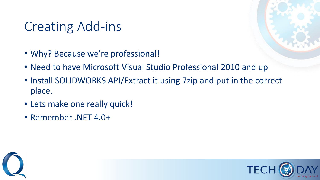## Creating Add-ins

- Why? Because we're professional!
- Need to have Microsoft Visual Studio Professional 2010 and up
- Install SOLIDWORKS API/Extract it using 7zip and put in the correct place.
- Lets make one really quick!
- Remember .NET 4.0+



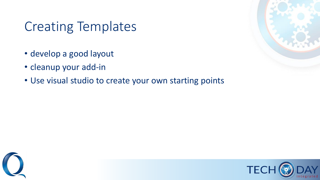### Creating Templates

- develop a good layout
- cleanup your add-in
- Use visual studio to create your own starting points